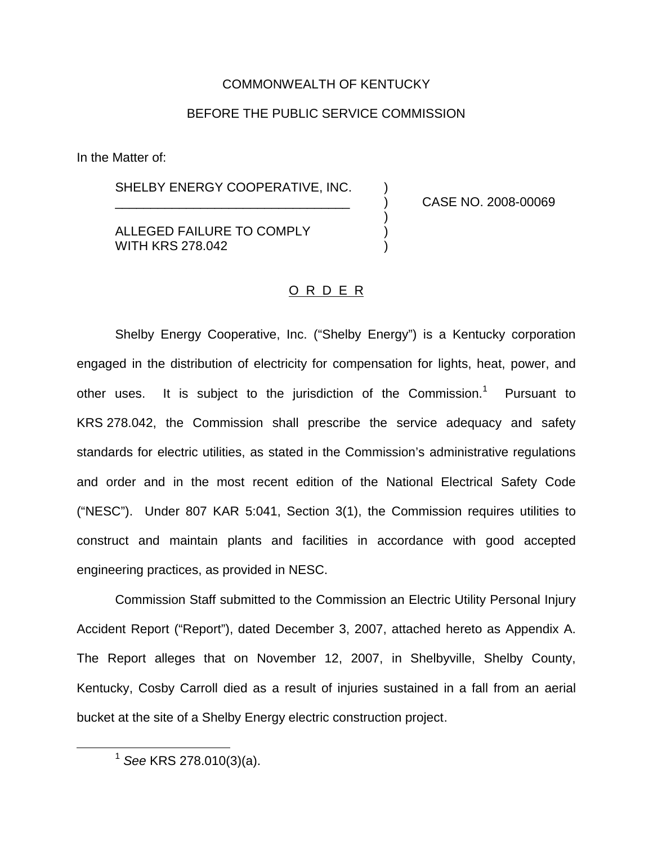### COMMONWEALTH OF KENTUCKY

### BEFORE THE PUBLIC SERVICE COMMISSION

In the Matter of:

SHELBY ENERGY COOPERATIVE, INC.

\_\_\_\_\_\_\_\_\_\_\_\_\_\_\_\_\_\_\_\_\_\_\_\_\_\_\_\_\_\_\_\_\_ ) CASE NO. 2008-00069

**ALLEGED FAILURE TO COMPLY** WITH KRS 278.042

### O R D E R

)

Shelby Energy Cooperative, Inc. ("Shelby Energy") is a Kentucky corporation engaged in the distribution of electricity for compensation for lights, heat, power, and other uses. It is subject to the jurisdiction of the Commission.<sup>1</sup> Pursuant to KRS 278.042, the Commission shall prescribe the service adequacy and safety standards for electric utilities, as stated in the Commission's administrative regulations and order and in the most recent edition of the National Electrical Safety Code ("NESC"). Under 807 KAR 5:041, Section 3(1), the Commission requires utilities to construct and maintain plants and facilities in accordance with good accepted engineering practices, as provided in NESC.

Commission Staff submitted to the Commission an Electric Utility Personal Injury Accident Report ("Report"), dated December 3, 2007, attached hereto as Appendix A. The Report alleges that on November 12, 2007, in Shelbyville, Shelby County, Kentucky, Cosby Carroll died as a result of injuries sustained in a fall from an aerial bucket at the site of a Shelby Energy electric construction project.

<sup>1</sup> *See* KRS 278.010(3)(a).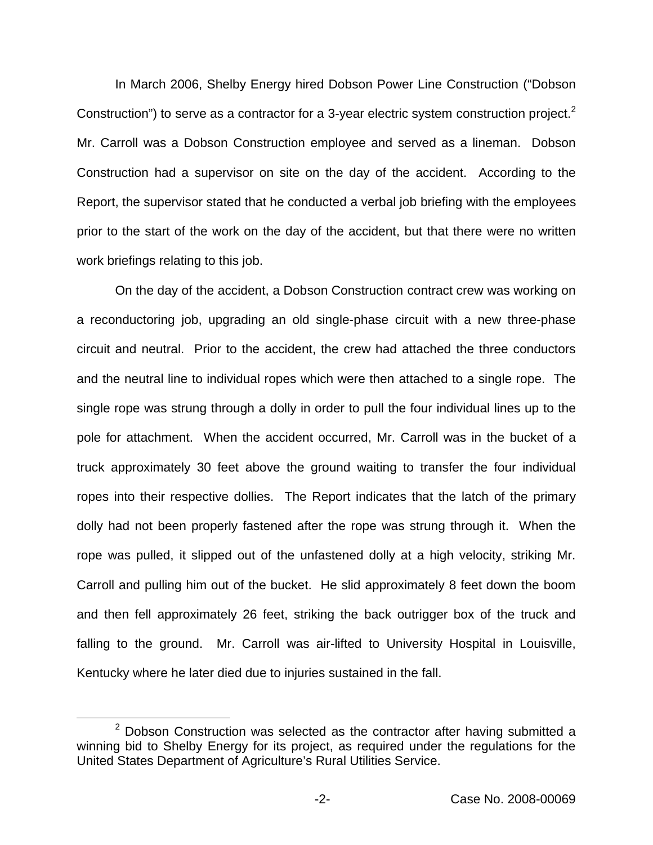In March 2006, Shelby Energy hired Dobson Power Line Construction ("Dobson Construction") to serve as a contractor for a 3-year electric system construction project.<sup>2</sup> Mr. Carroll was a Dobson Construction employee and served as a lineman. Dobson Construction had a supervisor on site on the day of the accident. According to the Report, the supervisor stated that he conducted a verbal job briefing with the employees prior to the start of the work on the day of the accident, but that there were no written work briefings relating to this job.

On the day of the accident, a Dobson Construction contract crew was working on a reconductoring job, upgrading an old single-phase circuit with a new three-phase circuit and neutral. Prior to the accident, the crew had attached the three conductors and the neutral line to individual ropes which were then attached to a single rope. The single rope was strung through a dolly in order to pull the four individual lines up to the pole for attachment. When the accident occurred, Mr. Carroll was in the bucket of a truck approximately 30 feet above the ground waiting to transfer the four individual ropes into their respective dollies. The Report indicates that the latch of the primary dolly had not been properly fastened after the rope was strung through it. When the rope was pulled, it slipped out of the unfastened dolly at a high velocity, striking Mr. Carroll and pulling him out of the bucket. He slid approximately 8 feet down the boom and then fell approximately 26 feet, striking the back outrigger box of the truck and falling to the ground. Mr. Carroll was air-lifted to University Hospital in Louisville, Kentucky where he later died due to injuries sustained in the fall.

 $2$  Dobson Construction was selected as the contractor after having submitted a winning bid to Shelby Energy for its project, as required under the regulations for the United States Department of Agriculture's Rural Utilities Service.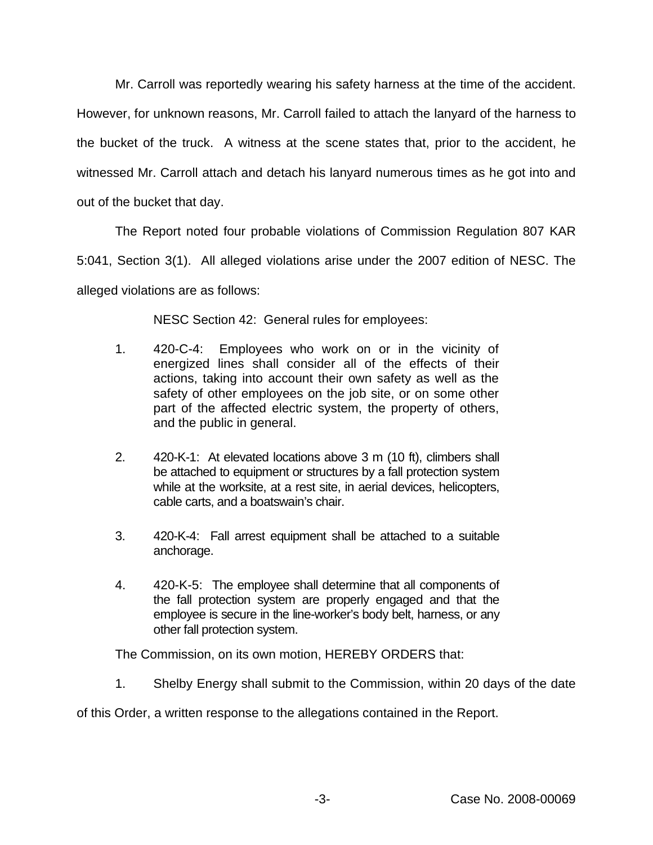Mr. Carroll was reportedly wearing his safety harness at the time of the accident. However, for unknown reasons, Mr. Carroll failed to attach the lanyard of the harness to the bucket of the truck. A witness at the scene states that, prior to the accident, he witnessed Mr. Carroll attach and detach his lanyard numerous times as he got into and out of the bucket that day.

The Report noted four probable violations of Commission Regulation 807 KAR 5:041, Section 3(1). All alleged violations arise under the 2007 edition of NESC. The alleged violations are as follows:

NESC Section 42: General rules for employees:

- 1. 420-C-4: Employees who work on or in the vicinity of energized lines shall consider all of the effects of their actions, taking into account their own safety as well as the safety of other employees on the job site, or on some other part of the affected electric system, the property of others, and the public in general.
- 2. 420-K-1: At elevated locations above 3 m (10 ft), climbers shall be attached to equipment or structures by a fall protection system while at the worksite, at a rest site, in aerial devices, helicopters, cable carts, and a boatswain's chair.
- 3. 420-K-4: Fall arrest equipment shall be attached to a suitable anchorage.
- 4. 420-K-5: The employee shall determine that all components of the fall protection system are properly engaged and that the employee is secure in the line-worker's body belt, harness, or any other fall protection system.

The Commission, on its own motion, HEREBY ORDERS that:

1. Shelby Energy shall submit to the Commission, within 20 days of the date

of this Order, a written response to the allegations contained in the Report.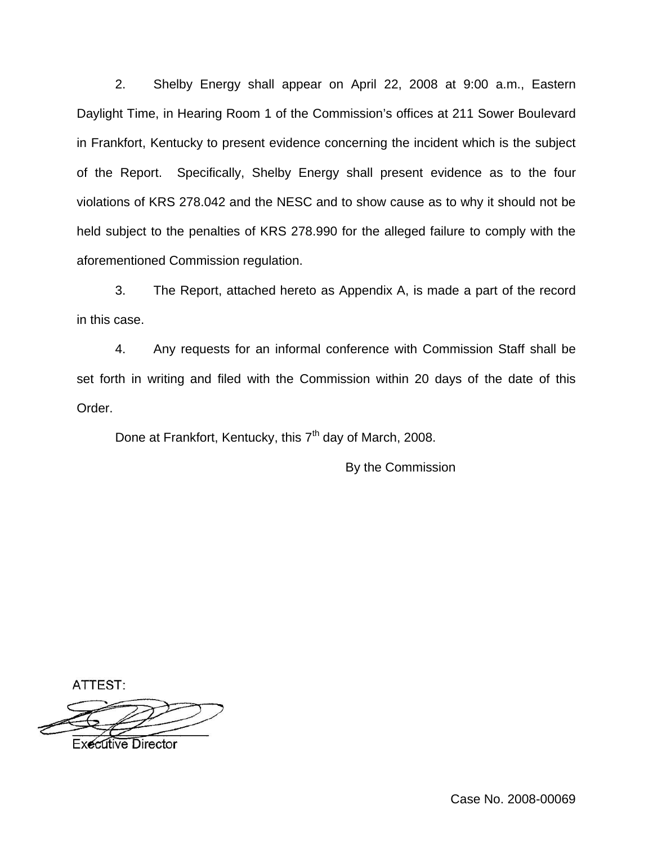2. Shelby Energy shall appear on April 22, 2008 at 9:00 a.m., Eastern Daylight Time, in Hearing Room 1 of the Commission's offices at 211 Sower Boulevard in Frankfort, Kentucky to present evidence concerning the incident which is the subject of the Report. Specifically, Shelby Energy shall present evidence as to the four violations of KRS 278.042 and the NESC and to show cause as to why it should not be held subject to the penalties of KRS 278.990 for the alleged failure to comply with the aforementioned Commission regulation.

3. The Report, attached hereto as Appendix A, is made a part of the record in this case.

4. Any requests for an informal conference with Commission Staff shall be set forth in writing and filed with the Commission within 20 days of the date of this Order.

Done at Frankfort, Kentucky, this 7<sup>th</sup> day of March, 2008.

By the Commission

ATTEST:

**Executive Director**